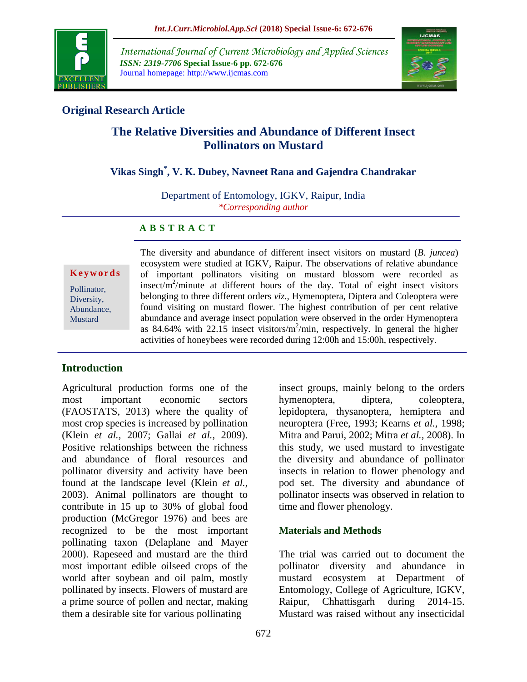

*International Journal of Current Microbiology and Applied Sciences ISSN: 2319-7706* **Special Issue-6 pp. 672-676** Journal homepage: http://www.ijcmas.com



# **Original Research Article**

# **The Relative Diversities and Abundance of Different Insect Pollinators on Mustard**

# **Vikas Singh\* , V. K. Dubey, Navneet Rana and Gajendra Chandrakar**

Department of Entomology, IGKV, Raipur, India *\*Corresponding author*

## **A B S T R A C T**

**K e y w o r d s**

Pollinator, Diversity, Abundance, Mustard

The diversity and abundance of different insect visitors on mustard (*B. juncea*) ecosystem were studied at IGKV, Raipur. The observations of relative abundance of important pollinators visiting on mustard blossom were recorded as insect/ $\frac{m^2}{m}$ inute at different hours of the day. Total of eight insect visitors belonging to three different orders *viz.,* Hymenoptera, Diptera and Coleoptera were found visiting on mustard flower. The highest contribution of per cent relative abundance and average insect population were observed in the order Hymenoptera as 84.64% with 22.15 insect visitors/ $m^2$ /min, respectively. In general the higher activities of honeybees were recorded during 12:00h and 15:00h, respectively.

# **Introduction**

Agricultural production forms one of the most important economic sectors (FAOSTATS, 2013) where the quality of most crop species is increased by pollination (Klein *et al.,* 2007; Gallai *et al.,* 2009). Positive relationships between the richness and abundance of floral resources and pollinator diversity and activity have been found at the landscape level (Klein *et al.,*  2003). Animal pollinators are thought to contribute in 15 up to 30% of global food production (McGregor 1976) and bees are recognized to be the most important pollinating taxon (Delaplane and Mayer 2000). Rapeseed and mustard are the third most important edible oilseed crops of the world after soybean and oil palm, mostly pollinated by insects. Flowers of mustard are a prime source of pollen and nectar, making them a desirable site for various pollinating

insect groups, mainly belong to the orders hymenoptera, diptera, coleoptera, lepidoptera, thysanoptera, hemiptera and neuroptera (Free, 1993; Kearns *et al.,* 1998; Mitra and Parui, 2002; Mitra *et al.,* 2008). In this study, we used mustard to investigate the diversity and abundance of pollinator insects in relation to flower phenology and pod set. The diversity and abundance of pollinator insects was observed in relation to time and flower phenology.

## **Materials and Methods**

The trial was carried out to document the pollinator diversity and abundance in mustard ecosystem at Department of Entomology, College of Agriculture, IGKV, Raipur, Chhattisgarh during 2014-15. Mustard was raised without any insecticidal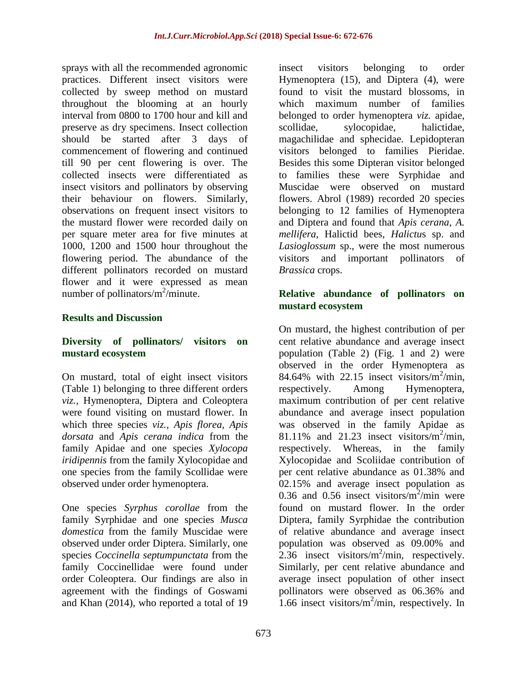sprays with all the recommended agronomic practices. Different insect visitors were collected by sweep method on mustard throughout the blooming at an hourly interval from 0800 to 1700 hour and kill and preserve as dry specimens. Insect collection should be started after 3 days of commencement of flowering and continued till 90 per cent flowering is over. The collected insects were differentiated as insect visitors and pollinators by observing their behaviour on flowers. Similarly, observations on frequent insect visitors to the mustard flower were recorded daily on per square meter area for five minutes at 1000, 1200 and 1500 hour throughout the flowering period. The abundance of the different pollinators recorded on mustard flower and it were expressed as mean number of pollinators/ $m^2$ /minute.

#### **Results and Discussion**

#### **Diversity of pollinators/ visitors on mustard ecosystem**

On mustard, total of eight insect visitors (Table 1) belonging to three different orders *viz.,* Hymenoptera, Diptera and Coleoptera were found visiting on mustard flower. In which three species *viz., Apis florea, Apis dorsata* and *Apis cerana indica* from the family Apidae and one species *Xylocopa iridipennis* from the family Xylocopidae and one species from the family Scollidae were observed under order hymenoptera.

One species *Syrphus corollae* from the family Syrphidae and one species *Musca domestica* from the family Muscidae were observed under order Diptera. Similarly, one species *Coccinella septumpunctata* from the family Coccinellidae were found under order Coleoptera. Our findings are also in agreement with the findings of Goswami and Khan (2014), who reported a total of 19

insect visitors belonging to order Hymenoptera (15), and Diptera (4), were found to visit the mustard blossoms, in which maximum number of families belonged to order hymenoptera *viz.* apidae, scollidae, sylocopidae, halictidae, magachilidae and sphecidae. Lepidopteran visitors belonged to families Pieridae. Besides this some Dipteran visitor belonged to families these were Syrphidae and Muscidae were observed on mustard flowers. Abrol (1989) recorded 20 species belonging to 12 families of Hymenoptera and Diptera and found that *Apis cerana, A. mellifera,* Halictid bees, *Halictu*s sp. and *Lasioglossum* sp., were the most numerous visitors and important pollinators of *Brassica* crops.

### **Relative abundance of pollinators on mustard ecosystem**

On mustard, the highest contribution of per cent relative abundance and average insect population (Table 2) (Fig. 1 and 2) were observed in the order Hymenoptera as 84.64% with 22.15 insect visitors/ $m^2$ /min, respectively. Among Hymenoptera, maximum contribution of per cent relative abundance and average insect population was observed in the family Apidae as 81.11% and 21.23 insect visitors/ $m^2$ /min, respectively. Whereas, in the family Xylocopidae and Scoliidae contribution of per cent relative abundance as 01.38% and 02.15% and average insect population as 0.36 and 0.56 insect visitors/ $m^2$ /min were found on mustard flower. In the order Diptera, family Syrphidae the contribution of relative abundance and average insect population was observed as 09.00% and  $2.36$  insect visitors/m<sup>2</sup>/min, respectively. Similarly, per cent relative abundance and average insect population of other insect pollinators were observed as 06.36% and 1.66 insect visitors/ $m^2$ /min, respectively. In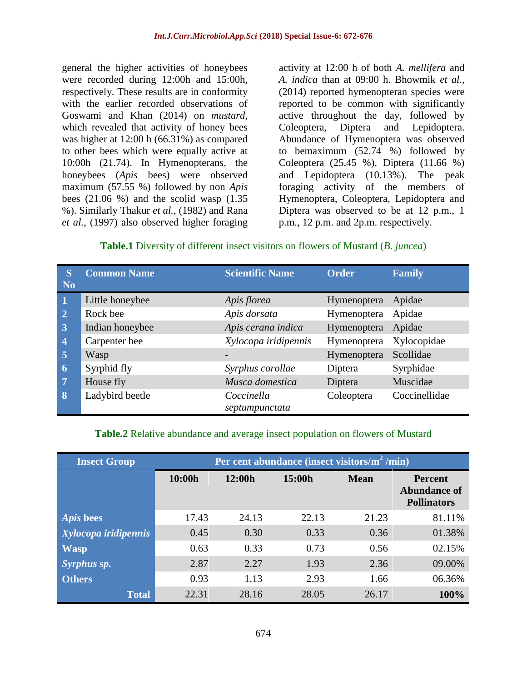general the higher activities of honeybees were recorded during 12:00h and 15:00h, respectively. These results are in conformity with the earlier recorded observations of Goswami and Khan (2014) on *mustard,*  which revealed that activity of honey bees was higher at 12:00 h (66.31%) as compared to other bees which were equally active at 10:00h (21.74). In Hymenopterans, the honeybees (*Apis* bees) were observed maximum (57.55 %) followed by non *Apis*  bees (21.06 %) and the scolid wasp (1.35 %). Similarly Thakur *et al.,* (1982) and Rana *et al.,* (1997) also observed higher foraging

activity at 12:00 h of both *A. mellifera* and *A. indica* than at 09:00 h. Bhowmik *et al.,* (2014) reported hymenopteran species were reported to be common with significantly active throughout the day, followed by Coleoptera, Diptera and Lepidoptera. Abundance of Hymenoptera was observed to bemaximum (52.74 %) followed by Coleoptera (25.45 %), Diptera (11.66 %) and Lepidoptera (10.13%). The peak foraging activity of the members of Hymenoptera, Coleoptera, Lepidoptera and Diptera was observed to be at 12 p.m., 1 p.m., 12 p.m. and 2p.m. respectively.

## **Table.1** Diversity of different insect visitors on flowers of Mustard (*B. juncea*)

| <sub>S</sub>   | <b>Common Name</b> | <b>Scientific Name</b> | <b>Order</b> | <b>Family</b> |
|----------------|--------------------|------------------------|--------------|---------------|
| <b>No</b>      |                    |                        |              |               |
| $\mathbf{1}$   | Little honeybee    | Apis florea            | Hymenoptera  | Apidae        |
| $\overline{2}$ | Rock bee           | Apis dorsata           | Hymenoptera  | Apidae        |
| $\overline{3}$ | Indian honeybee    | Apis cerana indica     | Hymenoptera  | Apidae        |
| $\overline{4}$ | Carpenter bee      | Xylocopa iridipennis   | Hymenoptera  | Xylocopidae   |
| $\overline{5}$ | Wasp               |                        | Hymenoptera  | Scollidae     |
| 6              | Syrphid fly        | Syrphus corollae       | Diptera      | Syrphidae     |
| 7              | House fly          | Musca domestica        | Diptera      | Muscidae      |
| $\bf{8}$       | Ladybird beetle    | Coccinella             | Coleoptera   | Coccinellidae |
|                |                    | septumpunctata         |              |               |

#### **Table.2** Relative abundance and average insect population on flowers of Mustard

| <b>Insect Group</b>  | Per cent abundance (insect visitors/m <sup>2</sup> /min) |        |        |             |                                                             |  |
|----------------------|----------------------------------------------------------|--------|--------|-------------|-------------------------------------------------------------|--|
|                      | 10:00h                                                   | 12:00h | 15:00h | <b>Mean</b> | <b>Percent</b><br><b>Abundance of</b><br><b>Pollinators</b> |  |
| <i>Apis</i> bees     | 17.43                                                    | 24.13  | 22.13  | 21.23       | 81.11%                                                      |  |
| Xylocopa iridipennis | 0.45                                                     | 0.30   | 0.33   | 0.36        | 01.38%                                                      |  |
| <b>Wasp</b>          | 0.63                                                     | 0.33   | 0.73   | 0.56        | 02.15%                                                      |  |
| Syrphus sp.          | 2.87                                                     | 2.27   | 1.93   | 2.36        | 09.00%                                                      |  |
| <b>Others</b>        | 0.93                                                     | 1.13   | 2.93   | 1.66        | 06.36%                                                      |  |
| <b>Total</b>         | 22.31                                                    | 28.16  | 28.05  | 26.17       | 100%                                                        |  |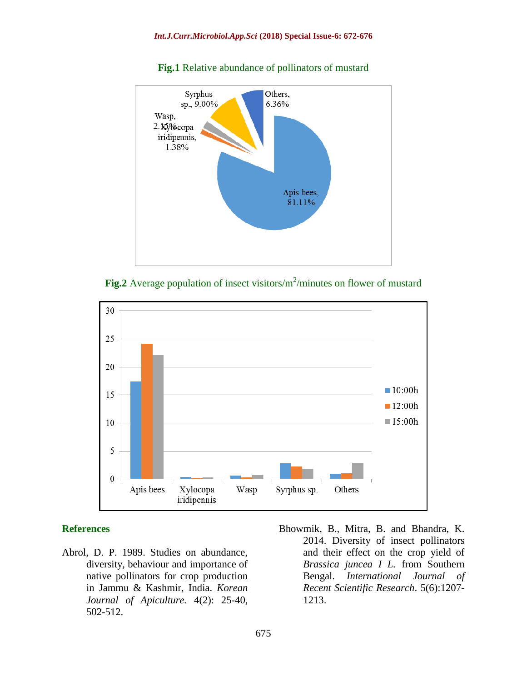

**Fig.1** Relative abundance of pollinators of mustard





#### **References**

- Abrol, D. P. 1989. Studies on abundance, diversity, behaviour and importance of native pollinators for crop production in Jammu & Kashmir, India. *Korean Journal of Apiculture.* 4(2): 25-40, 502-512.
- Bhowmik, B., Mitra, B. and Bhandra, K. 2014. Diversity of insect pollinators and their effect on the crop yield of *Brassica juncea I L.* from Southern Bengal. *International Journal of Recent Scientific Research*. 5(6):1207- 1213.